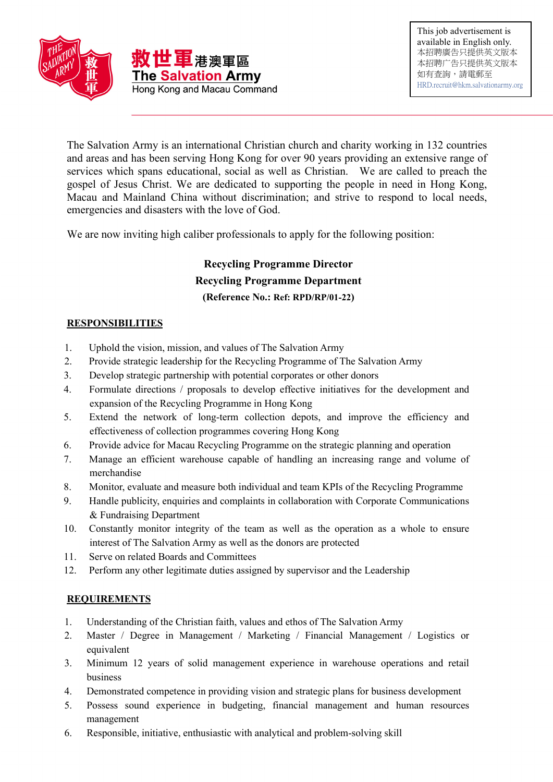

The Salvation Army is an international Christian church and charity working in 132 countries and areas and has been serving Hong Kong for over 90 years providing an extensive range of services which spans educational, social as well as Christian. We are called to preach the gospel of Jesus Christ. We are dedicated to supporting the people in need in Hong Kong, Macau and Mainland China without discrimination; and strive to respond to local needs, emergencies and disasters with the love of God.

We are now inviting high caliber professionals to apply for the following position:

## **Recycling Programme Director Recycling Programme Department (Reference No.: Ref: RPD/RP/01-22)**

## **RESPONSIBILITIES**

- 1. Uphold the vision, mission, and values of The Salvation Army
- 2. Provide strategic leadership for the Recycling Programme of The Salvation Army
- 3. Develop strategic partnership with potential corporates or other donors
- 4. Formulate directions / proposals to develop effective initiatives for the development and expansion of the Recycling Programme in Hong Kong
- 5. Extend the network of long-term collection depots, and improve the efficiency and effectiveness of collection programmes covering Hong Kong
- 6. Provide advice for Macau Recycling Programme on the strategic planning and operation
- 7. Manage an efficient warehouse capable of handling an increasing range and volume of merchandise
- 8. Monitor, evaluate and measure both individual and team KPIs of the Recycling Programme
- 9. Handle publicity, enquiries and complaints in collaboration with Corporate Communications & Fundraising Department
- 10. Constantly monitor integrity of the team as well as the operation as a whole to ensure interest of The Salvation Army as well as the donors are protected
- 11. Serve on related Boards and Committees
- 12. Perform any other legitimate duties assigned by supervisor and the Leadership

## **REQUIREMENTS**

- 1. Understanding of the Christian faith, values and ethos of The Salvation Army
- 2. Master / Degree in Management / Marketing / Financial Management / Logistics or equivalent
- 3. Minimum 12 years of solid management experience in warehouse operations and retail business
- 4. Demonstrated competence in providing vision and strategic plans for business development
- 5. Possess sound experience in budgeting, financial management and human resources management
- 6. Responsible, initiative, enthusiastic with analytical and problem-solving skill